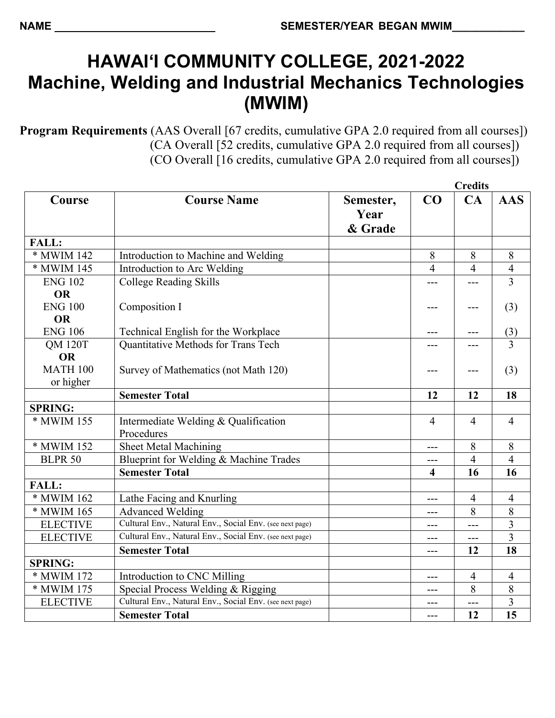## **HAWAI'I COMMUNITY COLLEGE, 2021-2022 Machine, Welding and Industrial Mechanics Technologies (MWIM)**

**Program Requirements** (AAS Overall [67 credits, cumulative GPA 2.0 required from all courses]) (CA Overall [52 credits, cumulative GPA 2.0 required from all courses]) (CO Overall [16 credits, cumulative GPA 2.0 required from all courses])

|                 |                                                          |                              | <b>Credits</b> |                |                |
|-----------------|----------------------------------------------------------|------------------------------|----------------|----------------|----------------|
| Course          | <b>Course Name</b>                                       | Semester,<br>Year<br>& Grade | CO             | CA             | <b>AAS</b>     |
| <b>FALL:</b>    |                                                          |                              |                |                |                |
| * MWIM 142      | Introduction to Machine and Welding                      |                              | 8              | 8              | 8              |
| * MWIM 145      | Introduction to Arc Welding                              |                              | $\overline{4}$ | $\overline{4}$ | $\overline{4}$ |
| <b>ENG 102</b>  | <b>College Reading Skills</b>                            |                              |                |                | $\overline{3}$ |
| <b>OR</b>       |                                                          |                              |                |                |                |
| <b>ENG 100</b>  | Composition I                                            |                              |                |                | (3)            |
| <b>OR</b>       |                                                          |                              |                |                |                |
| <b>ENG 106</b>  | Technical English for the Workplace                      |                              | ---            | ---            | (3)            |
| <b>QM 120T</b>  | Quantitative Methods for Trans Tech                      |                              |                |                | $\overline{3}$ |
| <b>OR</b>       |                                                          |                              |                |                |                |
| <b>MATH 100</b> | Survey of Mathematics (not Math 120)                     |                              | ---            | ---            | (3)            |
| or higher       |                                                          |                              |                |                |                |
|                 | <b>Semester Total</b>                                    |                              | 12             | 12             | 18             |
| <b>SPRING:</b>  |                                                          |                              |                |                |                |
| * MWIM 155      | Intermediate Welding & Qualification<br>Procedures       |                              | 4              | $\overline{4}$ | $\overline{4}$ |
| * MWIM 152      | <b>Sheet Metal Machining</b>                             |                              | $---$          | 8              | 8              |
| <b>BLPR 50</b>  | Blueprint for Welding & Machine Trades                   |                              | ---            | $\overline{4}$ | $\overline{4}$ |
|                 | <b>Semester Total</b>                                    |                              | 4              | 16             | 16             |
| <b>FALL:</b>    |                                                          |                              |                |                |                |
| * MWIM 162      | Lathe Facing and Knurling                                |                              | ---            | 4              | $\overline{4}$ |
| * MWIM 165      | <b>Advanced Welding</b>                                  |                              | $---$          | 8              | 8              |
| <b>ELECTIVE</b> | Cultural Env., Natural Env., Social Env. (see next page) |                              | $---$          | $---$          | $\overline{3}$ |
| <b>ELECTIVE</b> | Cultural Env., Natural Env., Social Env. (see next page) |                              | ---            | $---$          | $\overline{3}$ |
|                 | <b>Semester Total</b>                                    |                              | ---            | 12             | 18             |
| <b>SPRING:</b>  |                                                          |                              |                |                |                |
| * MWIM 172      | Introduction to CNC Milling                              |                              | $---$          | $\overline{4}$ | $\overline{4}$ |
| * MWIM 175      | Special Process Welding & Rigging                        |                              | $---$          | 8              | $\,8\,$        |
| <b>ELECTIVE</b> | Cultural Env., Natural Env., Social Env. (see next page) |                              |                | ---            | $\overline{3}$ |
|                 | <b>Semester Total</b>                                    |                              | $---$          | 12             | 15             |